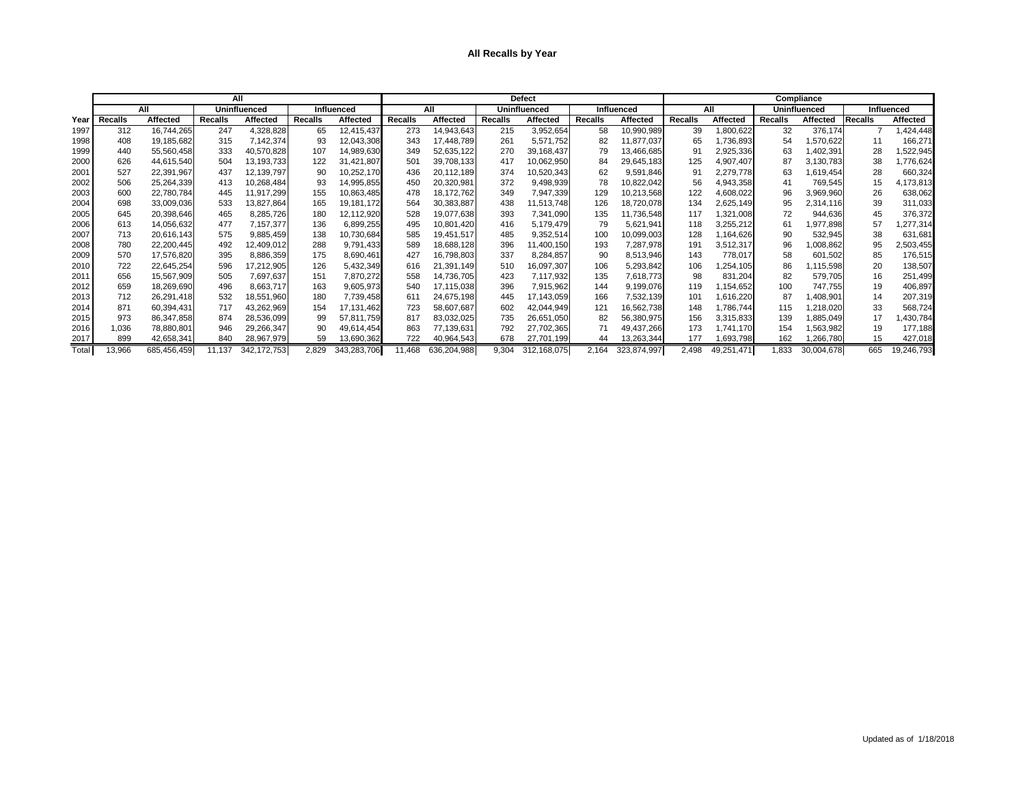## **All Recalls by Year**

|       |                |                 |                     | All             |                   |                 |                |                 |                | <b>Defect</b>       |                | Compliance        |                |                  |                     |                 |         |                   |  |
|-------|----------------|-----------------|---------------------|-----------------|-------------------|-----------------|----------------|-----------------|----------------|---------------------|----------------|-------------------|----------------|------------------|---------------------|-----------------|---------|-------------------|--|
|       | All            |                 | <b>Uninfluenced</b> |                 | <b>Influenced</b> |                 |                | All             |                | <b>Uninfluenced</b> |                | <b>Influenced</b> |                | All              | <b>Uninfluenced</b> |                 |         | <b>Influenced</b> |  |
| Year  | <b>Recalls</b> | <b>Affected</b> | <b>Recalls</b>      | <b>Affected</b> | <b>Recalls</b>    | <b>Affected</b> | <b>Recalls</b> | <b>Affected</b> | <b>Recalls</b> | <b>Affected</b>     | <b>Recalls</b> | Affected          | <b>Recalls</b> | <b>Affected</b>  | <b>Recalls</b>      | <b>Affected</b> | Recalls | <b>Affected</b>   |  |
| 1997  | 312            | 16,744,265      | 247                 | 4,328,828       | 65                | 12,415,437      | 273            | 14,943,643      | 215            | 3,952,654           | 58             | 10,990,989        | 39             | 800,622          | 32                  | 376,174         |         | ,424,448          |  |
| 1998  | 408            | 19,185,682      | 315                 | 7,142,374       | 93                | 12,043,308      | 343            | 17.448.789      | 261            | 5,571,752           | 82             | 11,877,037        | 65             | 1,736,893        | 54                  | ,570,622        | 11      | 166,271           |  |
| 1999  | 440            | 55,560,458      | 333                 | 40,570,828      | 107               | 14,989,630      | 349            | 52,635,122      | 270            | 39,168,437          | 79             | 13,466,685        | g.             | 2,925,336        | 63                  | ,402,391        | 28      | ,522,945          |  |
| 2000  | 626            | 44,615,540      | 504                 | 13,193,733      | 122               | 31,421,807      | 501            | 39,708,133      | 417            | 10,062,950          | 84             | 29,645,183        | 125            | 4,907,407        | 87                  | 3,130,783       | 38      | ,776,624          |  |
| 2001  | 527            | 22,391,967      | 437                 | 12,139,797      | 90                | 10,252,170      | 436            | 20,112,189      | 374            | 10,520,343          | 62             | 9,591,846         | 91             | 2,279,778        | 63                  | ,619,454        | 28      | 660,324           |  |
| 2002  | 506            | 25,264,339      | 413                 | 10,268,484      | 93                | 14,995,855      | 450            | 20,320,981      | 372            | 9,498,939           | 78             | 10,822,042        | 56             | 4,943,358        | 41                  | 769,545         | 15      | 4,173,813         |  |
| 2003  | 600            | 22,780,784      | 445                 | 11,917,299      | 155               | 10,863,485      | 478            | 18,172,762      | 349            | 7,947,339           | 129            | 10,213,568        | 122            | 4,608,022        | 96                  | 3,969,960       | 26      | 638,062           |  |
| 2004  | 698            | 33,009,036      | 533                 | 13,827,864      | 165               | 19,181,172      | 564            | 30,383,887      | 438            | 11,513,748          | 126            | 18,720,078        | 134            | 2,625,149        | 95                  | 2,314,116       | 39      | 311,033           |  |
| 2005  | 645            | 20,398,646      | 465                 | 8,285,726       | 180               | 12,112,920      | 528            | 19,077,638      | 393            | 7,341,090           | 135            | 11,736,548        | 117            | ,321,008         | 72                  | 944,636         | 45      | 376,372           |  |
| 2006  | 613            | 14,056,632      | 477                 | 7,157,377       | 136               | 6,899,255       | 495            | 10,801,420      | 416            | 5,179,479           | 79             | 5,621,941         | 118            | 3,255,212        | 61                  | ,977,898        | 57      | ,277,314          |  |
| 2007  | 713            | 20,616,143      | 575                 | 9,885,459       | 138               | 10,730,684      | 585            | 19,451,517      | 485            | 9,352,514           | 100            | 10,099,003        | 128            | ,164,626         | 90                  | 532,945         | 38      | 631,681           |  |
| 2008  | 780            | 22,200,445      | -492                | 12,409,012      | 288               | 9,791,433       | 589            | 18,688,128      | 396            | 11,400,150          | 193            | 7,287,978         | 191            | 3,512,317        | 96                  | ,008,862        | 95      | 2,503,455         |  |
| 2009  | 570            | 17,576,820      | 395                 | 8,886,359       | 175               | 8,690,461       | 427            | 16,798,803      | 337            | 8,284,857           | 90             | 8,513,946         | 143            | 778,017          | 58                  | 601,502         | 85      | 176,515           |  |
| 2010  | 722            | 22,645,254      | 596                 | 17,212,905      | 126               | 5,432,349       | 616            | 21,391,149      | 510            | 16,097,307          | 106            | 5,293,842         | 106            | ,254,105         | 86                  | ,115,598        | 20      | 138,507           |  |
| 201   | 656            | 15,567,909      | 505                 | 7,697,637       | 151               | 7,870,272       | 558            | 14,736,705      | 423            | 7,117,932           | 135            | 7,618,773         | 98             | 831,204          | 82                  | 579,705         | 16      | 251,499           |  |
| 2012  | 659            | 18,269,690      | 496                 | 8,663,717       | 163               | 9,605,973       | 540            | 17,115,038      | 396            | 7,915,962           | 144            | 9.199.076         | 119            | ,154,652         | 100                 | 747,755         | 19      | 406,897           |  |
| 2013  | 712            | 26,291,418      | 532                 | 18,551,960      | 180               | 7,739,458       | 611            | 24,675,198      | 445            | 17,143,059          | 166            | 7,532,139         | 101            | 1,616,220        | 87                  | ,408,901        | 14      | 207,319           |  |
| 2014  | 871            | 60.394.431      | 717                 | 43,262,969      | 154               | 17,131,462      | 723            | 58,607,687      | 602            | 42,044,949          | 121            | 16,562,738        | 148            | 1,786,744        | 115                 | ,218,020        | 33      | 568,724           |  |
| 2015  | 973            | 86,347,858      | 874                 | 28,536,099      | 99                | 57,811,759      | 817            | 83,032,025      | 735            | 26,651,050          | 82             | 56,380,975        | 156            | 3.315.833        | 139                 | ,885,049        | 17      | ,430,784          |  |
| 2016  | 1,036          | 78,880,801      | 946                 | 29,266,347      | 90                | 49,614,454      | 863            | 77,139,631      | 792            | 27,702,365          |                | 49,437,266        | 173            | 1,741,170        | 154                 | 1,563,982       | 19      | 177,188           |  |
| 2017  | 899            | 42,658,341      | 840                 | 28,967,979      | 59                | 13,690,362      | 722            | 40,964,543      | 678            | 27,701,199          | 44             | 13.263.344        | 177            | ,693,798         | 162                 | 1,266,780       | 15      | 427,018           |  |
| Total | 13,966         | 685.456.459     | 1.137               | 342, 172, 753   | 2,829             | 343,283,706     | 11.468         | 636,204,988     | 9,304          | 312,168,075         | 2,164          | 323,874,997       | 2,498          | 49,251<br>471, ا | ,833                | 30,004,678      | 665     | 19,246,793        |  |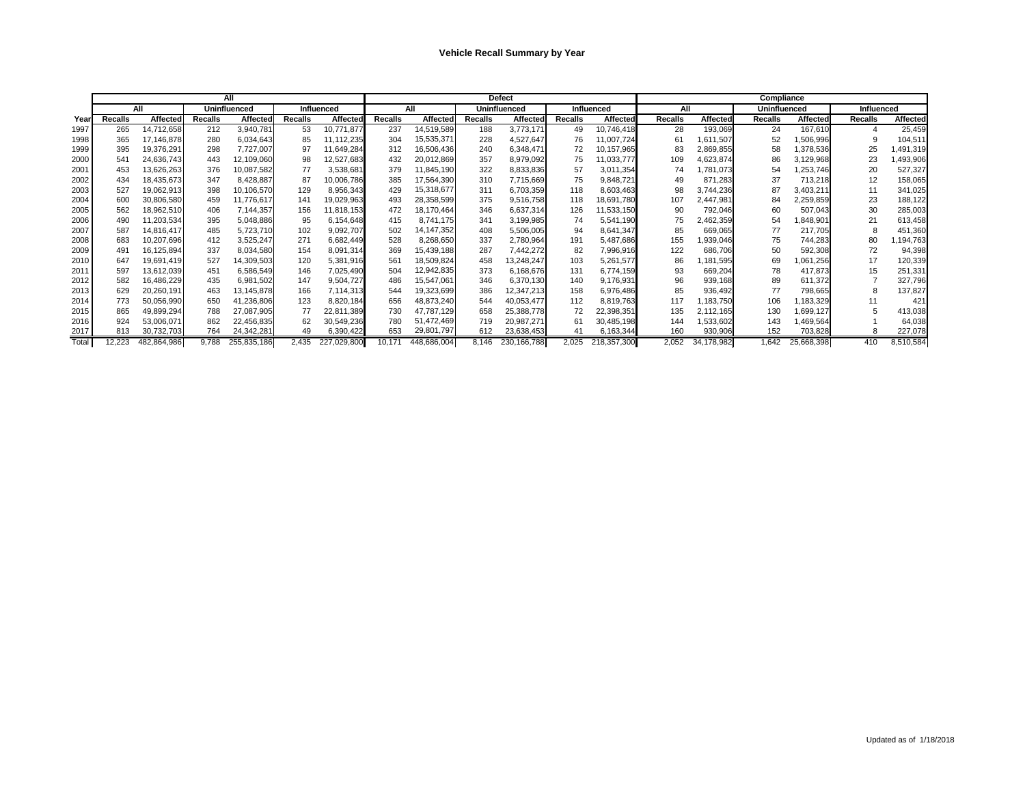|       |                |                 |                | <b>All</b>          |                |                   |                |                 |                | <b>Defect</b>   |                |                   | <b>Compliance</b> |                 |                     |                 |                |                 |  |  |
|-------|----------------|-----------------|----------------|---------------------|----------------|-------------------|----------------|-----------------|----------------|-----------------|----------------|-------------------|-------------------|-----------------|---------------------|-----------------|----------------|-----------------|--|--|
|       |                | All             |                | <b>Uninfluenced</b> |                | <b>Influenced</b> |                | All             |                | Uninfluenced    |                | <b>Influenced</b> | All               |                 | <b>Uninfluenced</b> |                 | Influenced     |                 |  |  |
| Year  | <b>Recalls</b> | <b>Affected</b> | <b>Recalls</b> | Affected            | <b>Recalls</b> | <b>Affected</b>   | <b>Recalls</b> | <b>Affected</b> | <b>Recalls</b> | <b>Affected</b> | <b>Recalls</b> | <b>Affected</b>   | <b>Recalls</b>    | <b>Affected</b> | <b>Recalls</b>      | <b>Affected</b> | <b>Recalls</b> | <b>Affected</b> |  |  |
| 1997  | 265            | 14,712,658      | 212            | 3,940,781           | 53             | 10,771,877        | 237            | 14,519,589      | 188            | 3,773,171       | 49             | 10,746,418        | 28                | 193,069         | 24                  | 167,610         | 4              | 25,459          |  |  |
| 1998  | 365            | 17,146,878      | 280            | 6,034,643           | 85             | 1,112,235         | 304            | 15,535,371      | 228            | 4,527,647       | 76             | 11,007,724        | 61                | 1,611,507       | 52                  | 1,506,996       |                | 104,511         |  |  |
| 1999  | 395            | 19,376,291      | 298            | 7,727,007           | 97             | 1,649,284         | 312            | 16,506,436      | 240            | 6,348,471       | 72             | 10,157,965        | 83                | 2,869,855       | 58                  | 1,378,536       | 25             | ,491,319        |  |  |
| 2000  | 541            | 24,636,743      | 443            | 12,109,060          | 98             | 12,527,683        | 432            | 20,012,869      | 357            | 8,979,092       | 75             | 11,033,777        | 109               | 4,623,874       | 86                  | 3,129,968       | 23             | ,493,906        |  |  |
| 2001  | 453            | 13,626,263      | 376            | 10,087,582          | 77             | 3,538,681         | 379            | 1,845,190       | 322            | 8,833,836       | 57             | 3,011,354         | 74                | 1,781,073       | 54                  | ,253,746        | 20             | 527,327         |  |  |
| 2002  | 434            | 18,435,673      | 347            | 8,428,887           | 87             | 0,006,786         | 385            | 17,564,390      | 310            | 7,715,669       | 75             | 9,848,721         | 49                | 871,283         | 37                  | 713,218         | 12             | 158,065         |  |  |
| 2003  | 527            | 19,062,913      | 398            | 10,106,570          | 129            | 8,956,343         | 429            | 15,318,677      | 311            | 6,703,359       | 118            | 8,603,463         | 98                | 3,744,236       | 87                  | 3,403,211       | 11             | 341,025         |  |  |
| 2004  | 600            | 30,806,580      | 459            | 11,776,617          | 141            | 19,029,963        | 493            | 28,358,599      | 375            | 9,516,758       | 118            | 18,691,780        | 107               | 2,447,981       | 84                  | 2,259,859       | 23             | 188,122         |  |  |
| 2005  | 562            | 18,962,510      | 406            | 7,144,357           | 156            | 1,818,153         | 472            | 18,170,464      | 346            | 6,637,314       | 126            | 11,533,150        | 90                | 792,046         | 60                  | 507,043         | 30             | 285,003         |  |  |
| 2006  | 490            | 11,203,534      | 395            | 5,048,886           | 95             | 6,154,648         | 415            | 8,741,175       | 341            | 3,199,985       | 74             | 5,541,190         | 75                | 2,462,359       | 54                  | ,848,901        | 21             | 613,458         |  |  |
| 2007  | 587            | 14,816,417      | 485            | 5,723,710           | 102            | 9,092,707         | 502            | 14, 147, 352    | 408            | 5,506,005       | 94             | 8,641,347         | 85                | 669,065         | 77                  | 217,705         | 8              | 451,360         |  |  |
| 2008  | 683            | 10,207,696      | 412            | 3,525,247           | 271            | 6,682,449         | 528            | 8,268,650       | 337            | 2,780,964       | 191            | 5,487,686         | 155               | 1,939,046       | 75                  | 744,283         | 80             | ,194,763        |  |  |
| 2009  | 491            | 16,125,894      | 337            | 8,034,580           | 154            | 8,091,314         | 369            | 15,439,188      | 287            | 7,442,272       | 82             | 7,996,916         | 122               | 686,706         | 50                  | 592,308         | 72             | 94,398          |  |  |
| 2010  | 647            | 19,691,419      | 527            | 14,309,503          | 120            | 5,381,916         | 561            | 18,509,824      | 458            | 13,248,247      | 103            | 5,261,577         | 86                | 1,181,595       | 69                  | ,061,256        | 17             | 120,339         |  |  |
| 2011  | 597            | 13,612,039      | 451            | 6,586,549           | 146            | 7,025,490         | 504            | 12,942,835      | 373            | 6,168,676       | 131            | 6,774,159         | 93                | 669,204         | 78                  | 417,873         | 15             | 251,331         |  |  |
| 2012  | 582            | 16,486,229      | 435            | 6,981,502           | 147            | 9,504,727         | 486            | 15,547,061      | 346            | 6,370,130       | 140            | 9,176,931         | 96                | 939,168         | 89                  | 611,372         |                | 327,796         |  |  |
| 2013  | 629            | 20,260,191      | 463            | 13,145,878          | 166            | 7,114,313         | 544            | 19,323,699      | 386            | 12,347,213      | 158            | 6,976,486         | 85                | 936,492         | 77                  | 798,665         | 8              | 137,827         |  |  |
| 2014  | 773            | 50,056,990      | 650            | 41,236,806          | 123            | 8,820,184         | 656            | 48,873,240      | 544            | 40,053,477      | 112            | 8,819,763         | 117               | 1,183,750       | 106                 | ,183,329        |                | 421             |  |  |
| 2015  | 865            | 49,899,294      | 788            | 27,087,905          | 77             | 22,811,389        | 730            | 47,787,129      | 658            | 25,388,778      | 72             | 22,398,351        | 135               | 2,112,165       | 130                 | ,699,127        |                | 413,038         |  |  |
| 2016  | 924            | 53,006,071      | 862            | 22,456,835          | 62             | 30,549,236        | 780            | 51,472,469      | 719            | 20,987,271      | 61             | 30,485,198        | 144               | 1,533,602       | 143                 | ,469,564        |                | 64,038          |  |  |
| 2017  | 813            | 30,732,703      | 764            | 24,342,281          | 49             | 6,390,422         | 653            | 29,801,797      | 612            | 23,638,453      | 41             | 6,163,344         | 160               | 930,906         | 152                 | 703,828         | 8              | 227,078         |  |  |
| Total | 12,223         | 482,864,986     | 9,788          | 255,835,186         | 2,435          | 227,029,800       | 10,171         | 448,686,004     | 8,146          | 230, 166, 788   | 2,025          | 218,357,300       | 2,052             | 34,178,982      | 1,642               | 25,668,398      | 410            | 8,510,584       |  |  |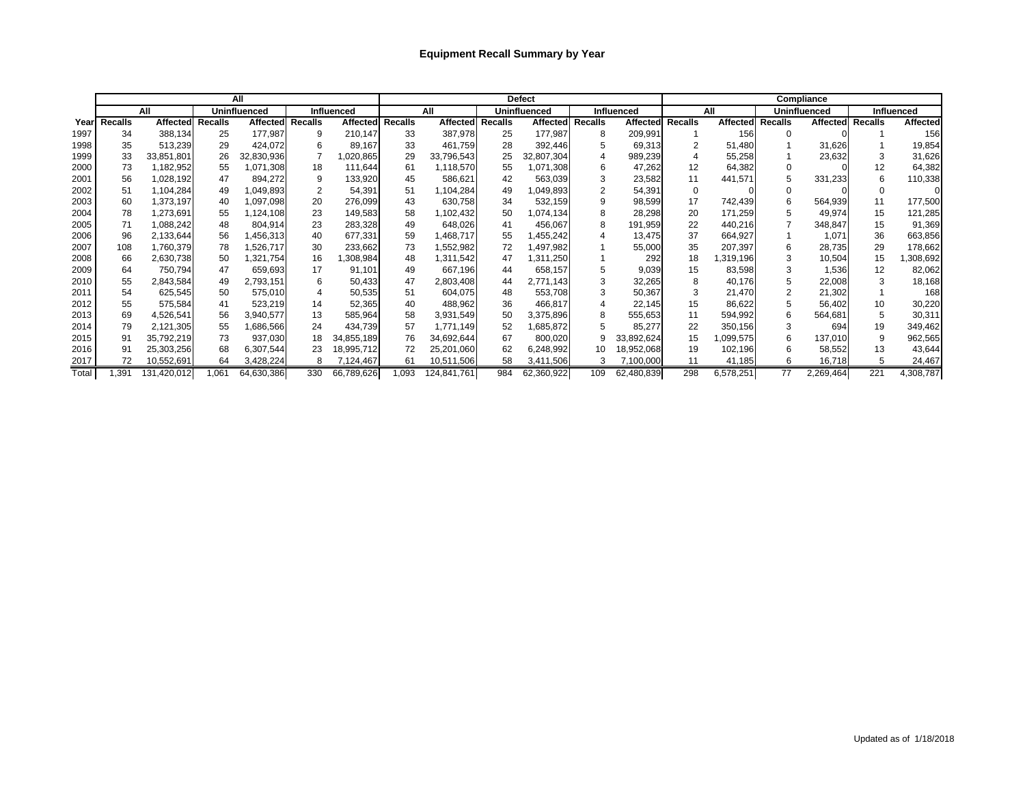## **Equipment Recall Summary by Year**

|       |                |                 |                     | All              |     |                   |                |                 |         | <b>Defect</b>   |                | Compliance        |                |                  |                     |                 |                   |                 |  |
|-------|----------------|-----------------|---------------------|------------------|-----|-------------------|----------------|-----------------|---------|-----------------|----------------|-------------------|----------------|------------------|---------------------|-----------------|-------------------|-----------------|--|
|       | All            |                 | <b>Uninfluenced</b> |                  |     | <b>Influenced</b> |                | All             |         | Uninfluenced    |                | <b>Influenced</b> | All            |                  | <b>Uninfluenced</b> |                 | <b>Influenced</b> |                 |  |
| Year  | <b>Recalls</b> | <b>Affected</b> | <b>Recalls</b>      | Affected Recalls |     | <b>Affected</b>   | <b>Recalls</b> | <b>Affected</b> | Recalls | <b>Affected</b> | <b>Recalls</b> | <b>Affected</b>   | <b>Recalls</b> | Affected Recalls |                     | <b>Affected</b> | <b>Recalls</b>    | <b>Affected</b> |  |
| 1997  | 34             | 388,134         | 25                  | 177,987          | 9   | 210,147           | 33             | 387,978         | 25      | 177,987         | 8              | 209,991           |                | 156              | 0                   |                 |                   | 156             |  |
| 1998  | 35             | 513,239         | 29                  | 424,072          | 6   | 89,167            | 33             | 461,759         | 28      | 392,446         |                | 69,313            |                | 51,480           |                     | 31,626          |                   | 19,854          |  |
| 1999  | 33             | 33,851,801      | 26                  | 32,830,936       |     | ,020,865          | 29             | 33,796,543      | 25      | 32,807,304      |                | 989,239           |                | 55,258           |                     | 23,632          | З                 | 31,626          |  |
| 2000  | 73             | 1,182,952       | 55                  | 1,071,308        | 18  | 111,644           | 61             | 118,570         | 55      | ,071,308        | 6              | 47,262            | 12             | 64,382           |                     |                 | 12                | 64,382          |  |
| 2001  | 56             | 1,028,192       | 47                  | 894,272          | 9   | 133,920           | 45             | 586,621         | 42      | 563,039         | 3              | 23,582            | 11             | 441,571          | 5                   | 331,233         | 6                 | 110,338         |  |
| 2002  | 51             | 1,104,284       | 49                  | ,049,893         |     | 54,391            | 51             | ,104,284        | 49      | ,049,893        |                | 54,391            |                |                  |                     |                 |                   |                 |  |
| 2003  | 60             | 1,373,197       | 40                  | 097,098. ا       | 20  | 276,099           | 43             | 630,758         | 34      | 532,159         |                | 98,599            | 17             | 742,439          | 6                   | 564,939         | 11                | 177,500         |  |
| 2004  | 78             | 1,273,691       | 55                  | 1,124,108        | 23  | 149,583           | 58             | ,102,432        | 50      | 1,074,134       |                | 28,298            | 20             | 171,259          |                     | 49,974          | 15                | 121,285         |  |
| 2005  | 71             | 1,088,242       | 48                  | 804,914          | 23  | 283,328           | 49             | 648,026         | 41      | 456,067         | 8              | 191,959           | 22             | 440,216          |                     | 348,847         | 15                | 91,369          |  |
| 2006  | 96             | 2,133,644       | 56                  | ,456,313         | 40  | 677,331           | 59             | I,468,717       | 55      | ,455,242        |                | 13,475            | 37             | 664,927          |                     | 1,071           | 36                | 663,856         |  |
| 2007  | 108            | 1,760,379       | 78                  | ,526,717         | 30  | 233,662           | 73             | 1,552,982       | 72      | ,497,982        |                | 55,000            | 35             | 207,397          | 6                   | 28,735          | 29                | 178,662         |  |
| 2008  | 66             | 2,630,738       | 50                  | 1,321,754        | 16  | ,308,984          | 48             | 311,542,        | 47      | ,311,250        |                | 292               | 18             | 319,196,         |                     | 10,504          | 15                | 308,692         |  |
| 2009  | 64             | 750,794         | 47                  | 659,693          | 17  | 91,101            | 49             | 667,196         | 44      | 658.157         |                | 9,039             | 15             | 83,598           |                     | 1,536           | 12                | 82,062          |  |
| 2010  | 55             | 2,843,584       | 49                  | 2,793,151        | 6   | 50,433            | 47             | 2,803,408       | 44      | 2,771,143       |                | 32,265            |                | 40,176           | 5                   | 22,008          | 3                 | 18,168          |  |
| 2011  | 54             | 625,545         | 50                  | 575,010          | 4   | 50,535            | 51             | 604,075         | 48      | 553,708         |                | 50,367            |                | 21,470           |                     | 21,302          |                   | 168             |  |
| 2012  | 55             | 575,584         | 41                  | 523,219          | 14  | 52,365            | 40             | 488,962         | 36      | 466,817         |                | 22.145            | 15             | 86,622           |                     | 56,402          | 10                | 30,220          |  |
| 2013  | 69             | 4,526,541       | 56                  | 3,940,577        | 13  | 585,964           | 58             | 3,931,549       | 50      | 3,375,896       |                | 555,653           | 11             | 594,992          | 6                   | 564,681         | $\mathbf{b}$      | 30,311          |  |
| 2014  | 79             | 2,121,305       | 55                  | ,686,566         | 24  | 434,739           | 57             | 1,771,149       | 52      | ,685,872        |                | 85,277            | 22             | 350,156          | 3                   | 694             | 19                | 349,462         |  |
| 2015  | 91             | 35,792,219      | 73                  | 937,030          | 18  | 34,855,189        | 76             | 34,692,644      | 67      | 800,020         | 9              | 33,892,624        | 15             | ,099,575         |                     | 137,010         |                   | 962,565         |  |
| 2016  | 91             | 25,303,256      | 68                  | 6,307,544        | 23  | 18,995,712        | 72             | 25,201,060      | 62      | 6,248,992       | 10             | 18,952,068        | 19             | 102,196          | 6                   | 58,552          | 13                | 43,644          |  |
| 2017  | 72             | 10,552,691      | 64                  | 3,428,224        | 8   | 7,124,467         | 61             | 10,511,506      | 58      | 3,411,506       | 3              | 7,100,000         | 11             | 41,185           | 6                   | 16,718          | 5                 | 24,467          |  |
| Total | 1,391          | 131,420,012     | 061, ا              | 64,630,386       | 330 | 66,789,626        | 1,093          | 124,841,761     | 984     | 62,360,922      | 109            | 62,480,839        | 298            | 6,578,251        | 77                  | 2,269,464       | 221               | 4,308,787       |  |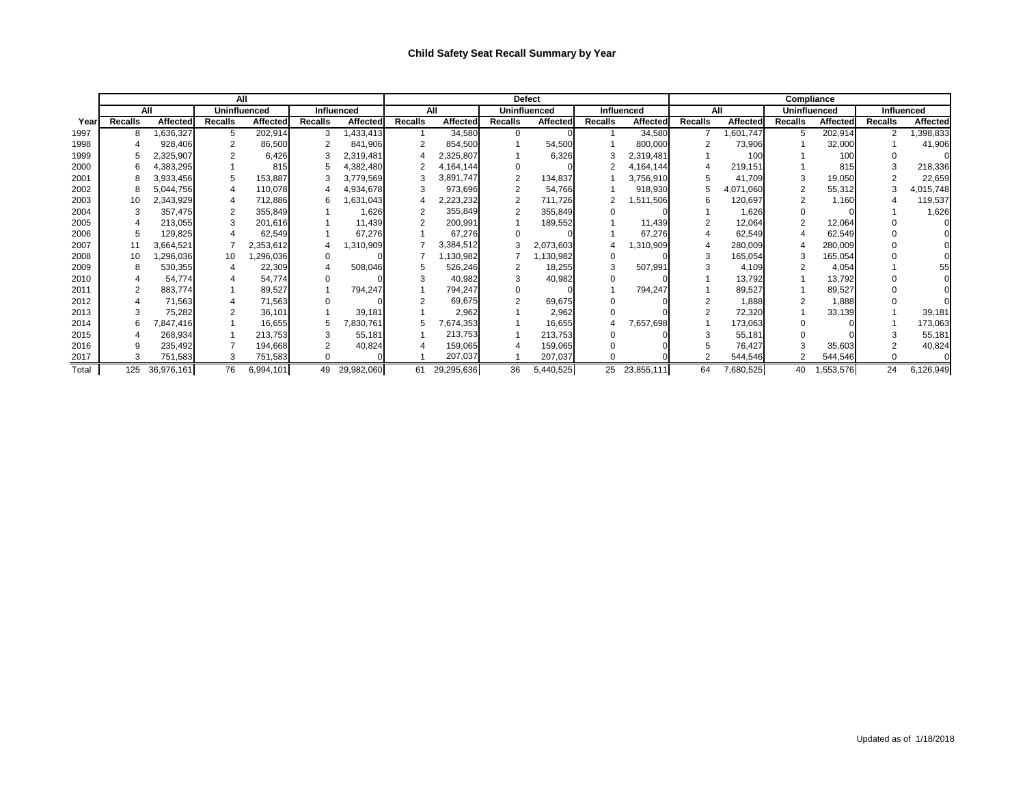## **Child Safety Seat Recall Summary by Year**

|       |                |                 |                     | All             |                |                 |                |                 | <b>Defect</b>  |                     |                | Compliance      |                |                 |                     |                 |                   |                 |  |
|-------|----------------|-----------------|---------------------|-----------------|----------------|-----------------|----------------|-----------------|----------------|---------------------|----------------|-----------------|----------------|-----------------|---------------------|-----------------|-------------------|-----------------|--|
|       |                | All             | <b>Uninfluenced</b> |                 | Influenced     |                 |                | All             |                | <b>Uninfluenced</b> |                | Influenced      | All            |                 | <b>Uninfluenced</b> |                 | <b>Influenced</b> |                 |  |
| Yearl | <b>Recalls</b> | <b>Affected</b> | <b>Recalls</b>      | <b>Affected</b> | <b>Recalls</b> | <b>Affected</b> | <b>Recalls</b> | <b>Affected</b> | <b>Recalls</b> | <b>Affected</b>     | <b>Recalls</b> | <b>Affected</b> | <b>Recalls</b> | <b>Affected</b> | <b>Recalls</b>      | <b>Affected</b> | <b>Recalls</b>    | <b>Affected</b> |  |
| 1997  |                | ,636,327        |                     | 202,914         |                | ,433,413        |                | 34,580          |                |                     |                | 34,580          |                | 1,601,747       | 5                   | 202,914         |                   | ,398,833        |  |
| 1998  |                | 928,406         |                     | 86,500          |                | 841,906         |                | 854,500         |                | 54,500              |                | 800,000         |                | 73,906          |                     | 32,000          |                   | 41,906          |  |
| 1999  |                | 2,325,907       |                     | 6,426           |                | 2,319,481       |                | 2,325,807       |                | 6,326               |                | 2,319,481       |                | 100             |                     | 10 <sub>C</sub> |                   |                 |  |
| 2000  |                | ,383,295        |                     | 815             |                | 4,382,480       |                | 4,164,144       |                |                     |                | 4,164,144       |                | 219,151         |                     | 815             |                   | 218,336         |  |
| 2001  |                | 3,933,456       |                     | 153,887         |                | 3,779,569       |                | 3,891,747       |                | 134,837             |                | 3,756,910       |                | 41,709          |                     | 19,050          |                   | 22,659          |  |
| 2002  |                | 5,044,756       |                     | 110,078         |                | 4,934,678       |                | 973,696         |                | 54,766              |                | 918,930         |                | 4,071,060       |                     | 55,312          |                   | 4,015,748       |  |
| 2003  | 10             | 2,343,929       |                     | 712,886         |                | ,631,043        |                | 2,223,232       |                | 711,726             |                | 1,511,506       | b              | 120,697         |                     | 1,160           |                   | 119,537         |  |
| 2004  |                | 357,475         |                     | 355,849         |                | 1,626           |                | 355,849         |                | 355,849             |                |                 |                | 1,626           |                     |                 |                   | 1,626           |  |
| 2005  |                | 213,055         |                     | 201,616         |                | 11,439          |                | 200,991         |                | 189,552             |                | 11,439          |                | 12,064          | $\overline{2}$      | 12,064          |                   |                 |  |
| 2006  |                | 129,825         |                     | 62,549          |                | 67,276          |                | 67,276          |                |                     |                | 67,276          |                | 62,549          |                     | 62,549          |                   |                 |  |
| 2007  |                | 3,664,521       |                     | 2,353,612       |                | ,310,909        |                | 3,384,512       |                | 2,073,603           |                | 1,310,909       |                | 280,009         |                     | 280,009         |                   |                 |  |
| 2008  | 10             | ,296,036        | 10                  | ,296,036        |                |                 |                | ,130,982        |                | ,130,982            |                |                 |                | 165,054         |                     | 165,054         |                   |                 |  |
| 2009  |                | 530,355         |                     | 22,309          |                | 508,046         |                | 526,246         |                | 18,255              |                | 507,991         |                | 4,109           |                     | 4,054           |                   |                 |  |
| 2010  |                | 54,774          |                     | 54,774          |                |                 |                | 40,982          |                | 40,982              |                |                 |                | 13,792          |                     | 13,792          |                   |                 |  |
| 2011  |                | 883,774         |                     | 89,527          |                | 794,247         |                | 794,247         |                |                     |                | 794,247         |                | 89,527          |                     | 89,527          |                   |                 |  |
| 2012  |                | 71,563          |                     | 71,563          |                |                 |                | 69,675          |                | 69,675              |                |                 |                | 1,888           |                     | 1,888           |                   |                 |  |
| 2013  |                | 75,282          |                     | 36,101          |                | 39,181          |                | 2,962           |                | 2,962               |                |                 |                | 72,320          |                     | 33,139          |                   | 39,181          |  |
| 2014  |                | ,847,416        |                     | 16,655          |                | 7,830,761       |                | 7,674,353       |                | 16,655              |                | 7,657,698       |                | 173,063         |                     |                 |                   | 173,063         |  |
| 2015  |                | 268,934         |                     | 213,753         |                | 55,181          |                | 213,753         |                | 213,753             |                |                 |                | 55,181          |                     |                 |                   | 55,181          |  |
| 2016  |                | 235,492         |                     | 194,668         |                | 40,824          |                | 159,065         |                | 159,065             |                |                 |                | 76,427          |                     | 35,603          |                   | 40,824          |  |
| 2017  |                | 751,583         |                     | 751,583         |                |                 |                | 207,037         |                | 207,037             |                |                 |                | 544,546         |                     | 544,546         |                   |                 |  |
| Total | 125            | 36,976,161      | 76                  | 6,994,101       | 49             | 29,982,060      | 61             | 29,295,636      | 36             | 5,440,525           | 25             | 23,855,111      | 64             | 7,680,525       | 40                  | 1,553,576       | 24                | 6,126,949       |  |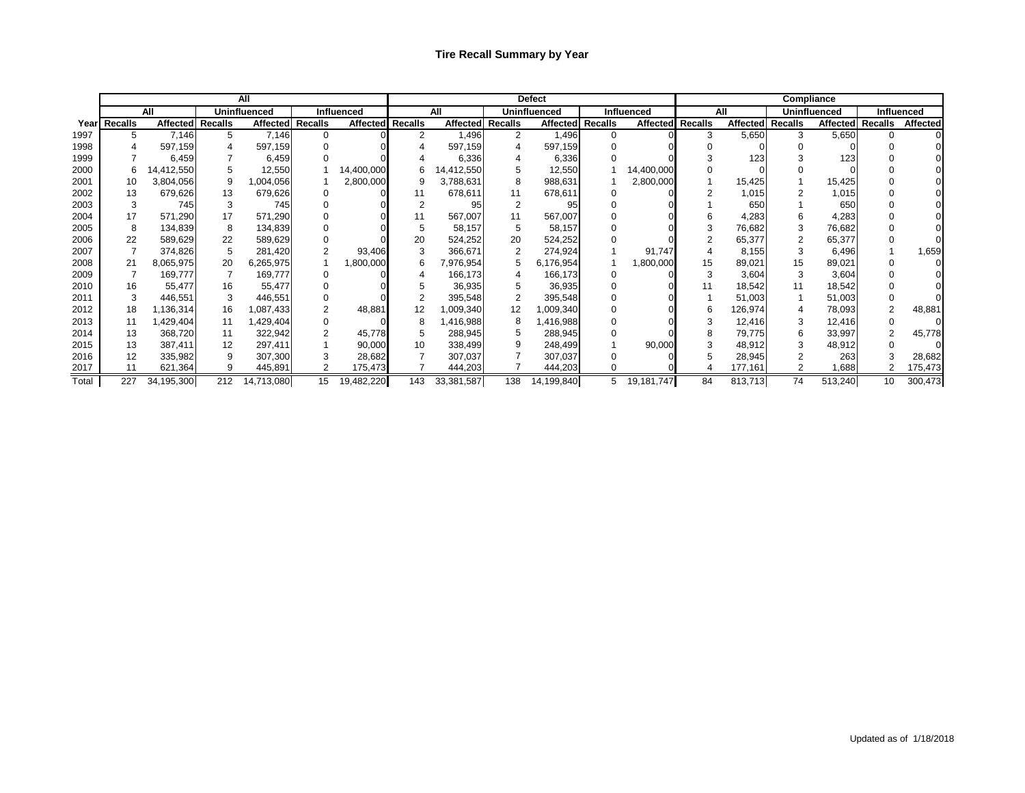|       |              |                  |                     | <b>All</b>       |            |                  |     |                  |     | <b>Defect</b>       |                  | <b>Compliance</b> |                |                 |                     |         |                  |                   |  |
|-------|--------------|------------------|---------------------|------------------|------------|------------------|-----|------------------|-----|---------------------|------------------|-------------------|----------------|-----------------|---------------------|---------|------------------|-------------------|--|
|       |              | All              | <b>Uninfluenced</b> |                  | Influenced |                  |     | All              |     | <b>Uninfluenced</b> |                  | <b>Influenced</b> |                | All             | <b>Uninfluenced</b> |         |                  | <b>Influenced</b> |  |
|       | Year Recalls | Affected Recalls |                     | Affected Recalls |            | Affected Recalls |     | Affected Recalls |     |                     | Affected Recalls | <b>Affected</b>   | <b>Recalls</b> | <b>Affected</b> | <b>Recalls</b>      |         | Affected Recalls | <b>Affected</b>   |  |
| 1997  | 5            | 7,146            | 5                   | 7,146            | $\Omega$   |                  | 2   | 1,496            | 2   | 1,496               | $\Omega$         |                   | 3              | 5,650           | 3                   | 5,650   |                  |                   |  |
| 1998  |              | 597,159          |                     | 597,159          |            |                  |     | 597,159          |     | 597,159             |                  |                   |                |                 |                     |         |                  |                   |  |
| 1999  |              | 6,459            |                     | 6,459            |            |                  |     | 6,336            |     | 6,336               |                  |                   |                | 123             |                     | 123     |                  |                   |  |
| 2000  |              | 14,412,550       |                     | 12,550           |            | 14,400,000       |     | 14,412,550       |     | 12,550              |                  | 14,400,000        |                |                 |                     |         |                  |                   |  |
| 2001  | 10           | 3,804,056        | 9                   | ,004,056         |            | 2,800,000        |     | 3,788,631        |     | 988,631             |                  | 2,800,000         |                | 15,425          |                     | 15,425  |                  |                   |  |
| 2002  | 13           | 679,626          | 13                  | 679,626          |            |                  | 11  | 678,611          | 11  | 678,611             |                  |                   |                | 1,015           |                     | 1,015   |                  |                   |  |
| 2003  | 3            | 745              | 3                   | 745              |            |                  |     | 95               |     | 95                  |                  |                   |                | 650             |                     | 650     |                  |                   |  |
| 2004  | 17           | 571,290          | 17                  | 571,290          |            |                  |     | 567,007          |     | 567,007             |                  |                   |                | 4,283           |                     | 4,283   |                  |                   |  |
| 2005  |              | 134,839          | 8                   | 134,839          |            |                  |     | 58,157           | 5   | 58,157              |                  |                   |                | 76,682          | 3                   | 76,682  |                  |                   |  |
| 2006  | 22           | 589,629          | 22                  | 589,629          |            |                  | 20  | 524,252          | 20  | 524,252             |                  |                   |                | 65,377          |                     | 65,377  |                  |                   |  |
| 2007  |              | 374,826          |                     | 281,420          |            | 93,406           |     | 366,671          |     | 274,924             |                  | 91,747            |                | 8,155           | 3                   | 6,496   |                  | 1,659             |  |
| 2008  | 21           | 8,065,975        | 20                  | 6,265,975        |            | ,800,000         |     | 7,976,954        |     | 6,176,954           |                  | 1,800,000         | 15             | 89,021          | 15                  | 89,021  |                  |                   |  |
| 2009  |              | 169,777          |                     | 169,777          |            |                  |     | 166,173          |     | 166,173             |                  |                   |                | 3,604           | 3                   | 3,604   |                  |                   |  |
| 2010  | 16           | 55,477           | 16                  | 55,477           |            |                  |     | 36,935           |     | 36,935              |                  |                   |                | 18,542          |                     | 18,542  |                  |                   |  |
| 2011  |              | 446,551          |                     | 446,551          |            |                  |     | 395,548          |     | 395,548             |                  |                   |                | 51,003          |                     | 51,003  |                  |                   |  |
| 2012  | 18           | 1,136,314        | 16                  | ,087,433         |            | 48,881           |     | 1,009,340        |     | 1,009,340           |                  |                   | 6              | 126,974         |                     | 78,093  |                  | 48,881            |  |
| 2013  | 11           | 429,404,         | 11                  | ,429,404         |            |                  |     | ,416,988         |     | 1,416,988           |                  |                   |                | 12,416          | 3                   | 12,416  |                  |                   |  |
| 2014  | 13           | 368,720          | 11                  | 322,942          |            | 45,778           |     | 288,945          |     | 288,945             |                  |                   |                | 79,775          | 6                   | 33,997  |                  | 45,778            |  |
| 2015  | 13           | 387,411          | 12                  | 297,411          |            | 90,000           | 10  | 338,499          |     | 248,499             |                  | 90,000            |                | 48,912          | 3                   | 48,912  |                  |                   |  |
| 2016  | 12           | 335,982          | 9                   | 307,300          |            | 28,682           |     | 307,037          |     | 307,037             |                  |                   |                | 28,945          |                     | 263     |                  | 28,682            |  |
| 2017  | 11           | 621,364          | 9                   | 445,891          |            | 175,473          |     | 444,203          |     | 444,203             |                  |                   |                | 177,161         |                     | 1,688   |                  | 175,473           |  |
| Total | 227          | 34,195,300       | 212                 | 14,713,080       | 15         | 19,482,220       | 143 | 33,381,587       | 138 | 14,199,840          | 5                | 19,181,747        | 84             | 813,713         | 74                  | 513,240 | 10 <sup>°</sup>  | 300,473           |  |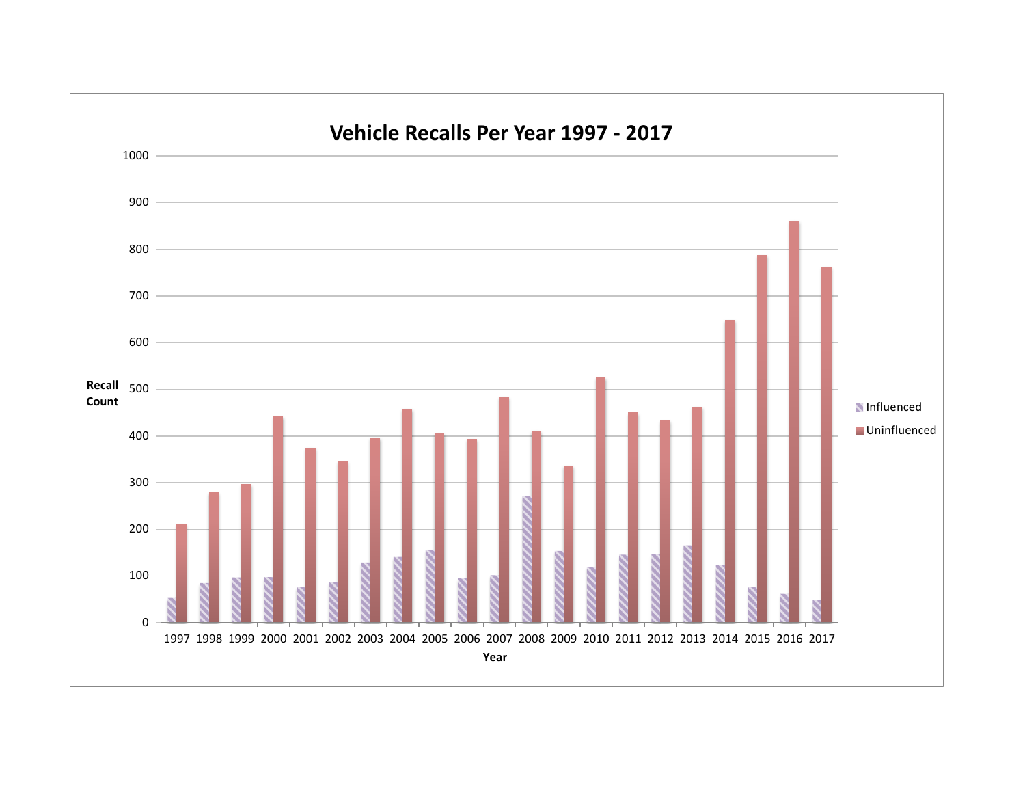